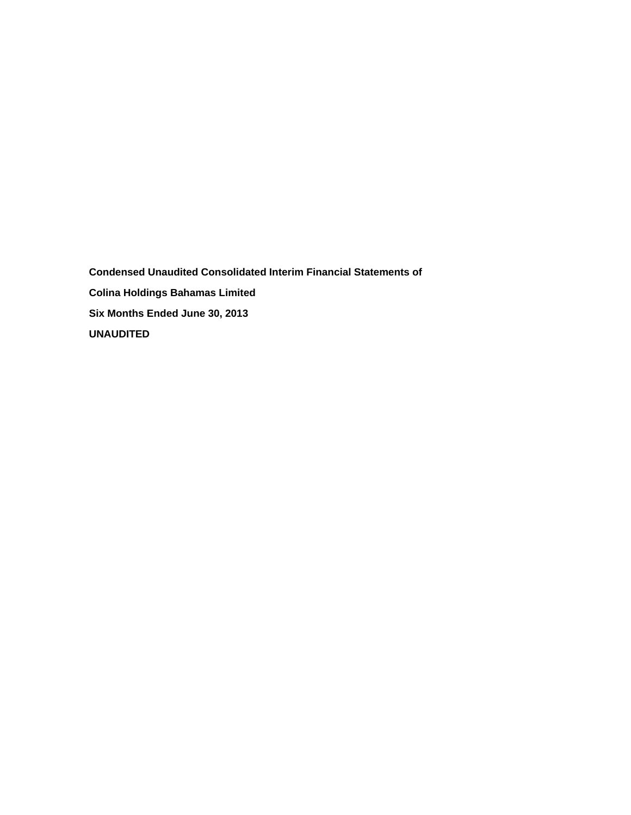**Condensed Unaudited Consolidated Interim Financial Statements of Colina Holdings Bahamas Limited Six Months Ended June 30, 2013 UNAUDITED**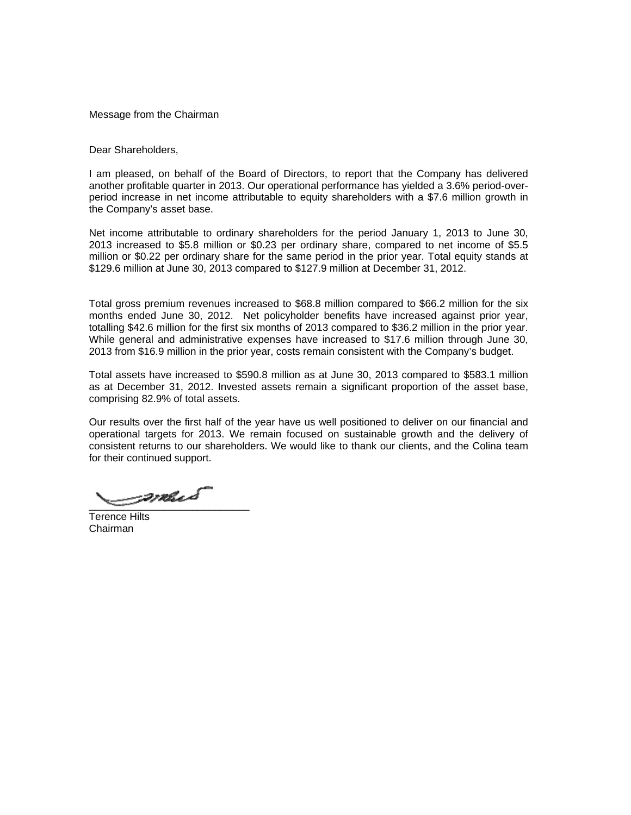Message from the Chairman

Dear Shareholders,

I am pleased, on behalf of the Board of Directors, to report that the Company has delivered another profitable quarter in 2013. Our operational performance has yielded a 3.6% period-overperiod increase in net income attributable to equity shareholders with a \$7.6 million growth in the Company's asset base.

Net income attributable to ordinary shareholders for the period January 1, 2013 to June 30, 2013 increased to \$5.8 million or \$0.23 per ordinary share, compared to net income of \$5.5 million or \$0.22 per ordinary share for the same period in the prior year. Total equity stands at \$129.6 million at June 30, 2013 compared to \$127.9 million at December 31, 2012.

Total gross premium revenues increased to \$68.8 million compared to \$66.2 million for the six months ended June 30, 2012. Net policyholder benefits have increased against prior year, totalling \$42.6 million for the first six months of 2013 compared to \$36.2 million in the prior year. While general and administrative expenses have increased to \$17.6 million through June 30, 2013 from \$16.9 million in the prior year, costs remain consistent with the Company's budget.

Total assets have increased to \$590.8 million as at June 30, 2013 compared to \$583.1 million as at December 31, 2012. Invested assets remain a significant proportion of the asset base, comprising 82.9% of total assets.

Our results over the first half of the year have us well positioned to deliver on our financial and operational targets for 2013. We remain focused on sustainable growth and the delivery of consistent returns to our shareholders. We would like to thank our clients, and the Colina team for their continued support.

\_\_\_\_\_\_\_\_\_\_\_\_\_\_\_\_\_\_\_\_\_\_\_\_\_\_\_\_

Terence Hilts Chairman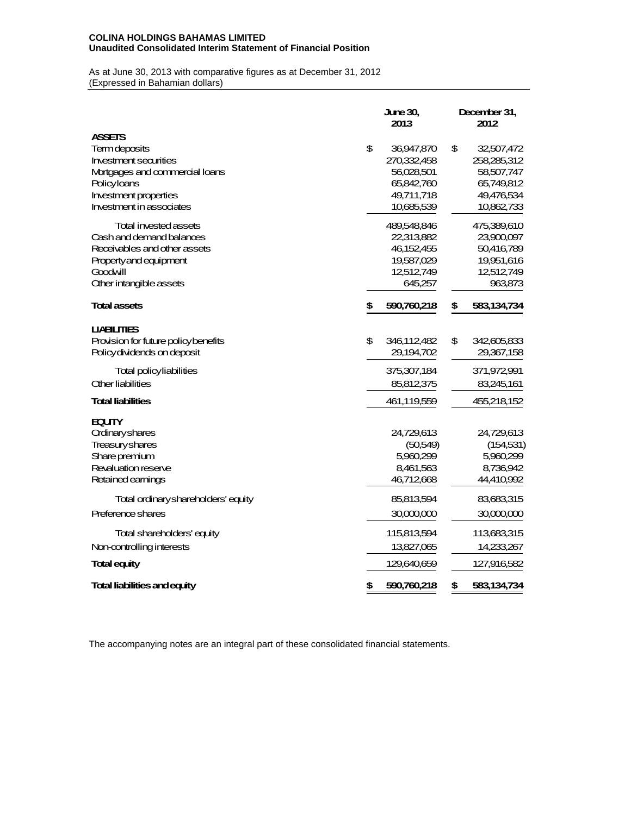## **COLINA HOLDINGS BAHAMAS LIMITED Unaudited Consolidated Interim Statement of Financial Position**

As at June 30, 2013 with comparative figures as at December 31, 2012 (Expressed in Bahamian dollars)

|                                      | <b>June 30.</b><br>2013 |             |    | December 31,<br>2012 |  |  |  |  |
|--------------------------------------|-------------------------|-------------|----|----------------------|--|--|--|--|
| <b>ASSETS</b>                        |                         |             |    |                      |  |  |  |  |
| Termdeposits                         | \$                      | 36,947,870  | \$ | 32,507,472           |  |  |  |  |
| <b>Investment securities</b>         |                         | 270,332,458 |    | 258,285,312          |  |  |  |  |
| Mortgages and commercial loans       |                         | 56,028,501  |    | 58,507,747           |  |  |  |  |
| Policyloans                          |                         | 65,842,760  |    | 65,749,812           |  |  |  |  |
| Investment properties                |                         | 49,711,718  |    | 49,476,534           |  |  |  |  |
| Investment in associates             |                         | 10,685,539  |    | 10,862,733           |  |  |  |  |
| <b>Total invested assets</b>         |                         | 489,548,846 |    | 475,389,610          |  |  |  |  |
| Cash and demand balances             |                         | 22,313,882  |    | 23,900,097           |  |  |  |  |
| Receivables and other assets         |                         | 46,152,455  |    | 50,416,789           |  |  |  |  |
| Property and equipment               |                         | 19,587,029  |    | 19,951,616           |  |  |  |  |
| Goodwill                             |                         | 12,512,749  |    | 12,512,749           |  |  |  |  |
| <b>Other intangible assets</b>       |                         | 645,257     |    | 963,873              |  |  |  |  |
| <b>Total assets</b>                  | \$                      | 590,760,218 | \$ | 583,134,734          |  |  |  |  |
| <b>UABILITIES</b>                    |                         |             |    |                      |  |  |  |  |
| Provision for future policy benefits | \$                      | 346,112,482 | \$ | 342,605,833          |  |  |  |  |
| Policy dividends on deposit          |                         | 29,194,702  |    | 29,367,158           |  |  |  |  |
| Total policy liabilities             |                         | 375,307,184 |    | 371,972,991          |  |  |  |  |
| <b>Other liabilities</b>             |                         | 85,812,375  |    | 83,245,161           |  |  |  |  |
| <b>Total liabilities</b>             |                         | 461,119,559 |    | 455,218,152          |  |  |  |  |
| <b>EQUITY</b>                        |                         |             |    |                      |  |  |  |  |
| <b>Ordinaryshares</b>                |                         | 24,729,613  |    | 24,729,613           |  |  |  |  |
| Treasuryshares                       |                         | (50,549)    |    | (154, 531)           |  |  |  |  |
| Share premium                        |                         | 5,960,299   |    | 5,960,299            |  |  |  |  |
| Revaluation reserve                  |                         | 8,461,563   |    | 8.736.942            |  |  |  |  |
| Retained earnings                    |                         | 46,712,668  |    | 44,410,992           |  |  |  |  |
| Total ordinaryshareholders' equity   |                         | 85,813,594  |    | 83,683,315           |  |  |  |  |
| Preference shares                    |                         | 30,000,000  |    | 30,000,000           |  |  |  |  |
| <b>Total shareholders' equity</b>    |                         | 115,813,594 |    | 113,683,315          |  |  |  |  |
| Non-controlling interests            |                         | 13,827,065  |    | 14,233,267           |  |  |  |  |
| <b>Total equity</b>                  |                         | 129,640,659 |    | 127,916,582          |  |  |  |  |
| Total liabilities and equity         | \$                      | 590,760,218 | \$ | 583,134,734          |  |  |  |  |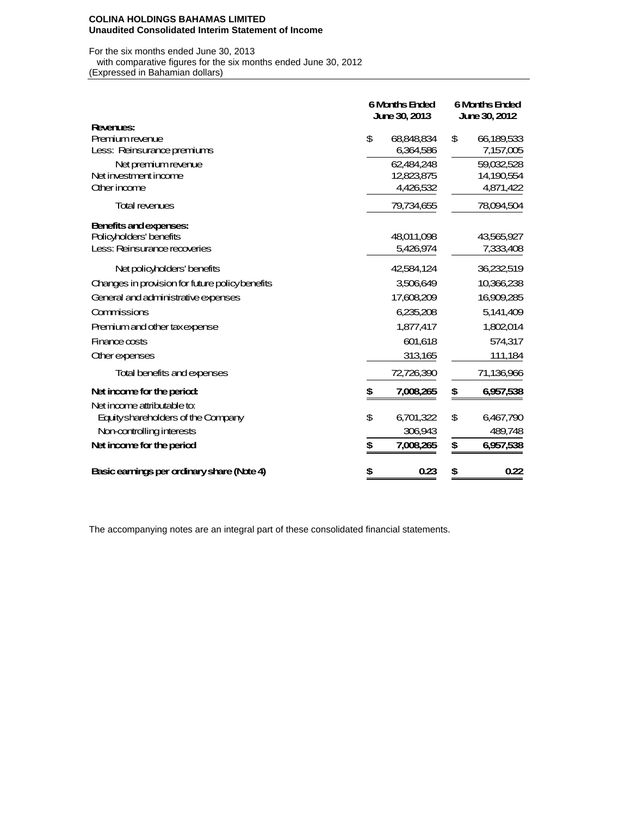#### **COLINA HOLDINGS BAHAMAS LIMITED Unaudited Consolidated Interim Statement of Income**

For the six months ended June 30, 2013 with comparative figures for the six months ended June 30, 2012 (Expressed in Bahamian dollars)

|                                                | <b>6 Months Ended</b><br><b>June 30, 2013</b> |            | <b>6 Months Ended</b><br><b>June 30, 2012</b> |            |  |
|------------------------------------------------|-----------------------------------------------|------------|-----------------------------------------------|------------|--|
| <b>Revenues:</b>                               |                                               |            |                                               |            |  |
| <b>Premium revenue</b>                         | \$                                            | 68,848,834 | \$                                            | 66,189,533 |  |
| Less: Reinsurance premiums                     |                                               | 6,364,586  |                                               | 7,157,005  |  |
| Net premium revenue                            |                                               | 62,484,248 |                                               | 59,032,528 |  |
| Net investment income                          |                                               | 12,823,875 |                                               | 14,190,554 |  |
| Other income                                   |                                               | 4,426,532  |                                               | 4,871,422  |  |
| <b>Total revenues</b>                          |                                               | 79,734,655 |                                               | 78,094,504 |  |
| Benefits and expenses:                         |                                               |            |                                               |            |  |
| Policyholders' benefits                        |                                               | 48,011,098 |                                               | 43,565,927 |  |
| Less: Reinsurance recoveries                   |                                               | 5,426,974  |                                               | 7,333,408  |  |
| Net policyholders' benefits                    |                                               | 42,584,124 |                                               | 36,232,519 |  |
| Changes in provision for future policybenefits |                                               | 3,506,649  |                                               | 10,366,238 |  |
| General and administrative expenses            |                                               | 17,608,209 |                                               | 16,909,285 |  |
| Commissions                                    |                                               | 6,235,208  |                                               | 5,141,409  |  |
| Premium and other taxexpense                   |                                               | 1,877,417  |                                               | 1,802,014  |  |
| Finance costs                                  |                                               | 601,618    |                                               | 574,317    |  |
| <b>Other expenses</b>                          |                                               | 313,165    |                                               | 111,184    |  |
| Total benefits and expenses                    |                                               | 72,726,390 |                                               | 71,136,966 |  |
| Net income for the period:                     | \$                                            | 7,008,265  | \$                                            | 6,957,538  |  |
| Net income attributable to:                    |                                               |            |                                               |            |  |
| Equity shareholders of the Company             | \$                                            | 6,701,322  | \$                                            | 6,467,790  |  |
| Non-controlling interests                      |                                               | 306,943    |                                               | 489,748    |  |
| Net income for the period                      | \$                                            | 7,008,265  | \$                                            | 6,957,538  |  |
| Basic earnings per ordinary share (Note 4)     | \$                                            | 0.23       | \$                                            | 0.22       |  |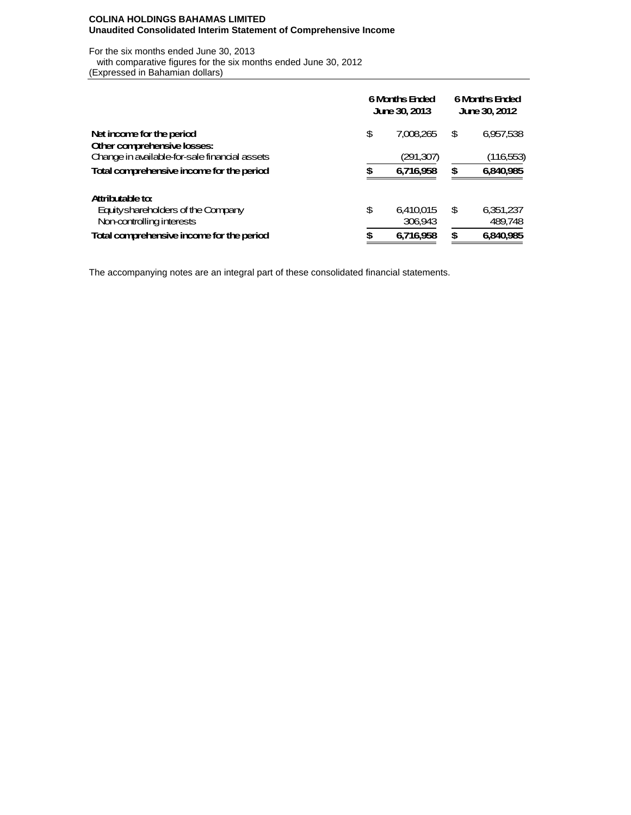## **COLINA HOLDINGS BAHAMAS LIMITED Unaudited Consolidated Interim Statement of Comprehensive Income**

For the six months ended June 30, 2013 with comparative figures for the six months ended June 30, 2012 (Expressed in Bahamian dollars)

|                                               | <b>6 Months Ended</b><br><b>June 30, 2013</b> | <b>6 Months Ended</b><br>June 30, 2012 |    |           |  |
|-----------------------------------------------|-----------------------------------------------|----------------------------------------|----|-----------|--|
| Net income for the period                     | \$                                            | 7.008.265                              | \$ | 6,957,538 |  |
| Other comprehensive losses:                   |                                               |                                        |    |           |  |
| Change in available for-sale financial assets |                                               | (291,307)                              |    | (116,553) |  |
| Total comprehensive income for the period     | S                                             | 6.716.958                              | \$ | 6,840,985 |  |
| Attributable to:                              |                                               |                                        |    |           |  |
| Equity shareholders of the Company            | \$                                            | 6.410.015                              | \$ | 6,351,237 |  |
| Non-controlling interests                     |                                               | 306.943                                |    | 489.748   |  |
| Total comprehensive income for the period     | œ                                             | 6.716.958                              | S  | 6.840.985 |  |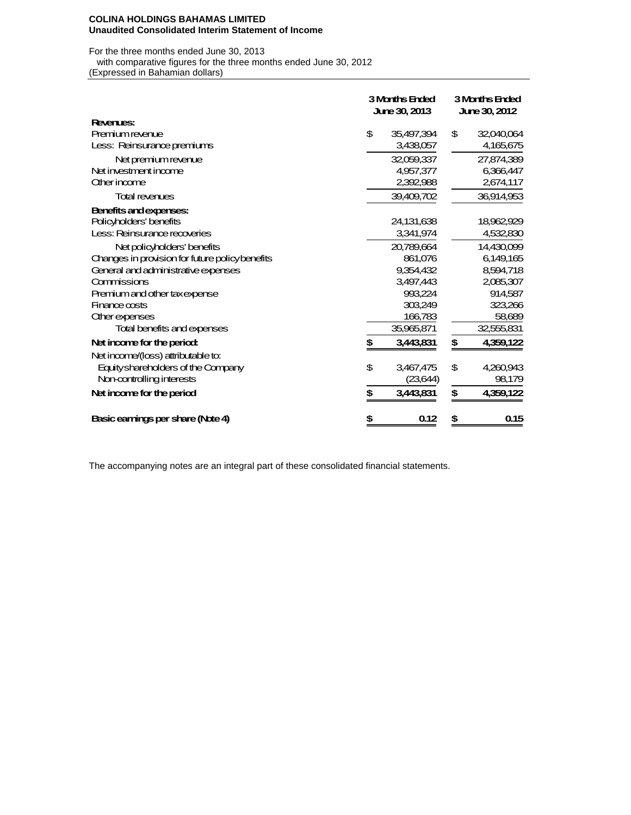#### **COLINA HOLDINGS BAHAMAS LIMITED Unaudited Consolidated Interim Statement of Income**

For the three months ended June 30, 2013 with comparative figures for the three months ended June 30, 2012 (Expressed in Bahamian dollars)

|                                                | <b>3 Months Ended</b><br><b>June 30, 2013</b> |    | <b>3 Months Ended</b><br>June 30, 2012 |
|------------------------------------------------|-----------------------------------------------|----|----------------------------------------|
| <b>Revenues:</b>                               |                                               |    |                                        |
| <b>Premium revenue</b>                         | \$<br>35,497,394                              | \$ | 32,040,064                             |
| Less: Reinsurance premiums                     | 3,438,057                                     |    | 4,165,675                              |
| Net premium revenue                            | 32,059,337                                    |    | 27,874,389                             |
| Net investment income                          | 4,957,377                                     |    | 6,366,447                              |
| Other income                                   | 2,392,988                                     |    | 2,674,117                              |
| <b>Total revenues</b>                          | 39,409,702                                    |    | 36,914,953                             |
| Benefits and expenses:                         |                                               |    |                                        |
| Policyholders' benefits                        | 24,131,638                                    |    | 18,962,929                             |
| Less: Reinsurance recoveries                   | 3,341,974                                     |    | 4,532,830                              |
| Net policyholders' benefits                    | 20,789,664                                    |    | 14,430,099                             |
| Changes in provision for future policybenefits | 861,076                                       |    | 6,149,165                              |
| General and administrative expenses            | 9,354,432                                     |    | 8,594,718                              |
| Commissions                                    | 3.497.443                                     |    | 2,085,307                              |
| Premium and other taxexpense                   | 993,224                                       |    | 914,587                                |
| $F$ mance costs                                | 303,249                                       |    | 323,266                                |
| <b>Other expenses</b>                          | 166,783                                       |    | 58,689                                 |
| Total benefits and expenses                    | 35,965,871                                    |    | 32,555,831                             |
| Net income for the period:                     | \$<br>3,443,831                               | \$ | 4,359,122                              |
| Net income/(loss) attributable to:             |                                               |    |                                        |
| Equity shareholders of the Company             | \$<br>3,467,475                               | \$ | 4,260,943                              |
| Non-controlling interests                      | (23,644)                                      |    | 98,179                                 |
| Net income for the period                      | \$<br>3,443,831                               | \$ | 4,359,122                              |
| Basic earnings per share (Note 4)              | \$<br>0.12                                    | \$ | 0.15                                   |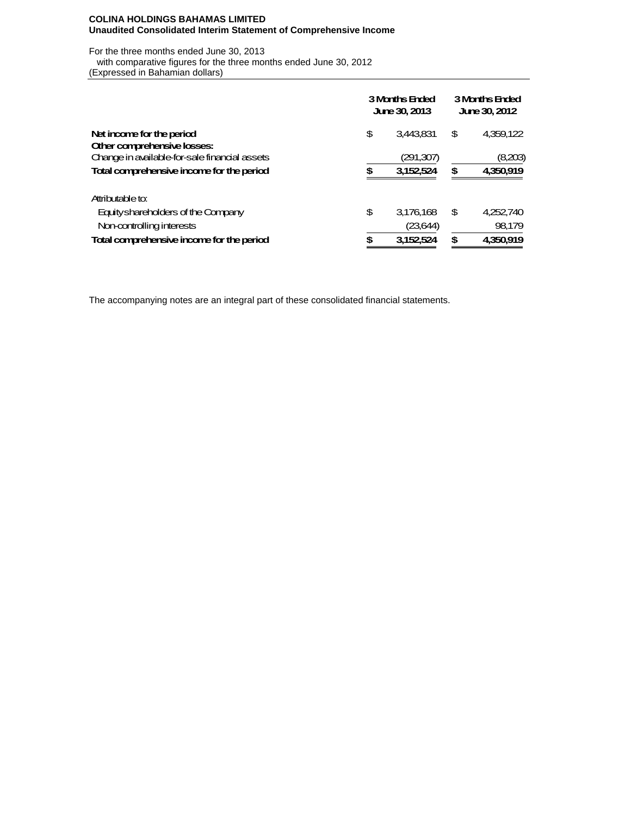### **COLINA HOLDINGS BAHAMAS LIMITED Unaudited Consolidated Interim Statement of Comprehensive Income**

For the three months ended June 30, 2013 with comparative figures for the three months ended June 30, 2012 (Expressed in Bahamian dollars)

|                                               | <b>3 Months Ended</b><br><b>June 30, 2013</b> | <b>3 Months Ended</b><br><b>June 30, 2012</b> |    |           |  |
|-----------------------------------------------|-----------------------------------------------|-----------------------------------------------|----|-----------|--|
| Net income for the period                     | \$                                            | 3.443.831                                     | \$ | 4,359,122 |  |
| Other comprehensive losses:                   |                                               |                                               |    |           |  |
| Change in available for-sale financial assets |                                               | (291,307)                                     |    | (8,203)   |  |
| Total comprehensive income for the period     | S                                             | 3.152.524                                     | \$ | 4,350,919 |  |
| Attributable to:                              |                                               |                                               |    |           |  |
| Equity shareholders of the Company            | \$                                            | 3,176,168                                     | \$ | 4,252,740 |  |
| Non-controlling interests                     |                                               | (23,644)                                      |    | 98,179    |  |
| Total comprehensive income for the period     | S                                             | 3,152,524                                     | \$ | 4.350.919 |  |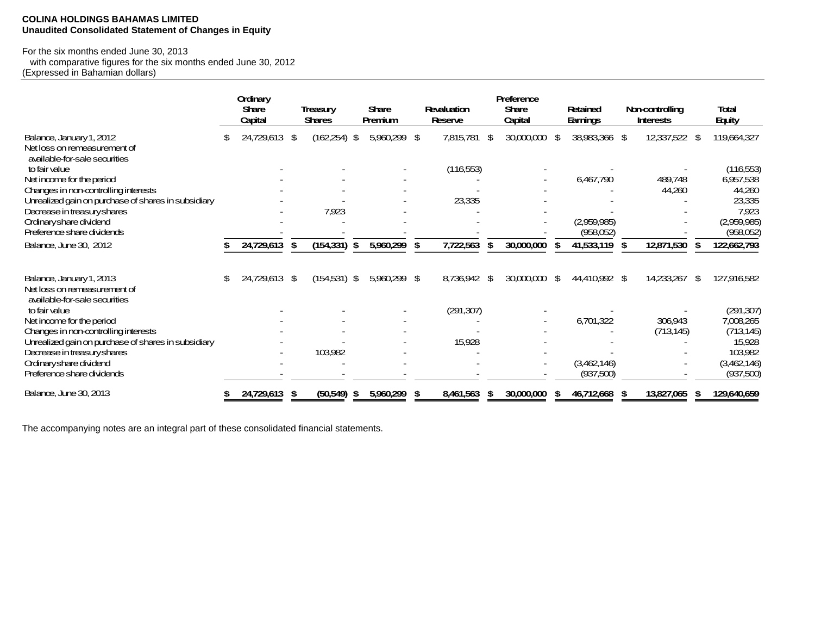## **COLINA HOLDINGS BAHAMAS LIMITED Unaudited Consolidated Statement of Changes in Equity**

# For the six months ended June 30, 2013

 with comparative figures for the six months ended June 30, 2012 (Expressed in Bahamian dollars)

|                                                               |    | Ordinary      |                  |    |              |    |                |      | Preference    |               |   |                        |                   |
|---------------------------------------------------------------|----|---------------|------------------|----|--------------|----|----------------|------|---------------|---------------|---|------------------------|-------------------|
|                                                               |    | <b>Share</b>  | <b>Treasury</b>  |    | <b>Share</b> |    | Revaluation    |      | <b>Share</b>  | Retained      |   | <b>Non-controlling</b> | <b>Total</b>      |
|                                                               |    | Capital       | <b>Shares</b>    |    | Premium      |    | <b>Reserve</b> |      | Capital       | Earnings      |   | <b>Interests</b>       | <b>Equity</b>     |
| Balance, January 1, 2012                                      | S  | 24,729,613 \$ | (162,254)        | \$ | 5,960,299 \$ |    | 7,815,781      | \$   | 30,000,000 \$ | 38,983,366 \$ |   | 12,337,522 \$          | 119,664,327       |
| Net loss on remeasurement of<br>available-for-sale securities |    |               |                  |    |              |    |                |      |               |               |   |                        |                   |
| to fair value                                                 |    |               |                  |    |              |    | (116,553)      |      |               |               |   |                        | (116,553)         |
| Net income for the period                                     |    |               |                  |    |              |    |                |      |               | 6,467,790     |   | 489,748                | 6,957,538         |
| Changes in non-controlling interests                          |    |               |                  |    |              |    |                |      |               |               |   | 44,260                 | 44,260            |
| Unrealized gain on purchase of shares in subsidiary           |    |               |                  |    |              |    | 23,335         |      |               |               |   |                        | 23,335            |
| Decrease in treasury shares                                   |    |               | 7,923            |    |              |    |                |      |               |               |   |                        | 7,923             |
| Ordinary share dividend                                       |    |               |                  |    |              |    |                |      |               | (2,959,985)   |   |                        | (2,959,985)       |
| Preference share dividends                                    |    |               |                  |    |              |    |                |      |               | (958,052)     |   |                        | (958,052)         |
| Balance, June 30, 2012                                        |    | 24,729,613    | \$<br>(154, 331) | \$ | 5,960,299    | £. | 7,722,563      | - 36 | 30,000,000    | 41,533,119    | S | 12,871,530             | 122,662,793       |
|                                                               |    |               |                  |    |              |    |                |      |               |               |   |                        |                   |
| Balance, January 1, 2013                                      | \$ | 24,729,613 \$ | $(154,531)$ \$   |    | 5,960,299 \$ |    | 8,736,942      | -\$  | 30,000,000 \$ | 44,410,992 \$ |   | 14,233,267             | \$<br>127,916,582 |
| Net loss on remeasurement of<br>available-for-sale securities |    |               |                  |    |              |    |                |      |               |               |   |                        |                   |
| to fair value                                                 |    |               |                  |    |              |    | (291, 307)     |      |               |               |   |                        | (291, 307)        |
| Net income for the period                                     |    |               |                  |    |              |    |                |      |               | 6,701,322     |   | 306,943                | 7,008,265         |
| Changes in non-controlling interests                          |    |               |                  |    |              |    |                |      |               |               |   | (713, 145)             | (713, 145)        |
| Unrealized gain on purchase of shares in subsidiary           |    |               |                  |    |              |    | 15,928         |      |               |               |   |                        | 15,928            |
| Decrease in treasury shares                                   |    |               | 103,982          |    |              |    |                |      |               |               |   |                        | 103,982           |
| Ordinary share dividend                                       |    |               |                  |    |              |    |                |      |               | (3,462,146)   |   |                        | (3,462,146)       |
| Preference share dividends                                    |    |               |                  |    |              |    |                |      |               | (937,500)     |   |                        | (937,500)         |
| Balance, June 30, 2013                                        |    | 24,729,613    | \$<br>(50, 549)  | S  | 5,960,299    |    | 8,461,563      | \$   | 30,000,000    | 46,712,668    |   | 13,827,065             | 129,640,659       |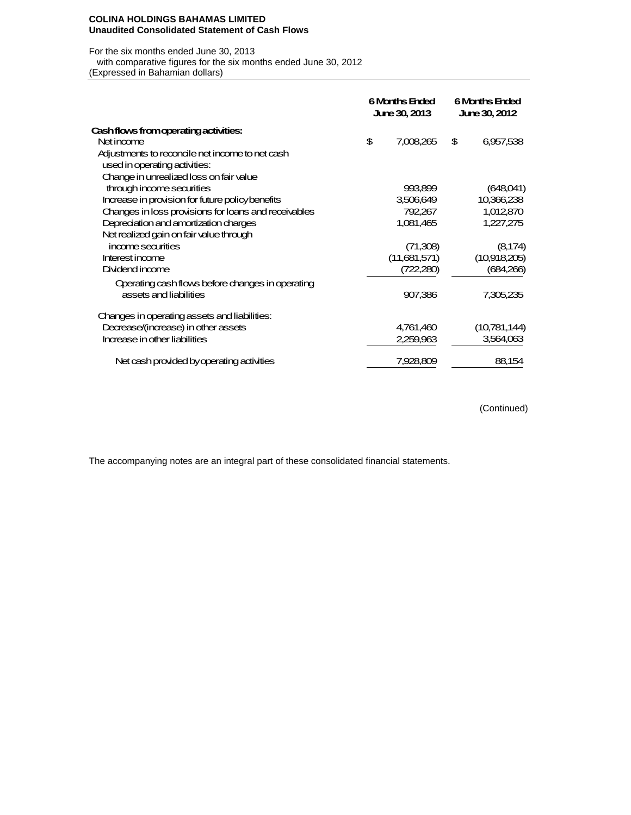#### **COLINA HOLDINGS BAHAMAS LIMITED Unaudited Consolidated Statement of Cash Flows**

#### For the six months ended June 30, 2013

with comparative figures for the six months ended June 30, 2012

(Expressed in Bahamian dollars)

|                                                      | <b>6 Months Ended</b><br><b>June 30, 2013</b> | <b>6 Months Ended</b><br><b>June 30, 2012</b> |              |  |
|------------------------------------------------------|-----------------------------------------------|-----------------------------------------------|--------------|--|
| Cashflows from operating activities:                 |                                               |                                               |              |  |
| Net income                                           | \$<br>7,008,265                               | \$                                            | 6,957,538    |  |
| Adjustments to reconcile net income to net cash      |                                               |                                               |              |  |
| used in operating activities:                        |                                               |                                               |              |  |
| Change in unrealized loss on fair value              |                                               |                                               |              |  |
| through income securities                            | 993,899                                       |                                               | (648,041)    |  |
| Increase in provision for future policy benefits     | 3,506,649                                     |                                               | 10,366,238   |  |
| Changes in loss provisions for loans and receivables | 792,267                                       |                                               | 1,012,870    |  |
| Depreciation and amortization charges                | 1,081,465                                     |                                               | 1,227,275    |  |
| Net realized gain on fair value through              |                                               |                                               |              |  |
| income sea rities                                    | (71,308)                                      |                                               | (8, 174)     |  |
| Interest income                                      | (11,681,571)                                  |                                               | (10,918,205) |  |
| Dividend income                                      | (722,280)                                     |                                               | (684,266)    |  |
| Operating cash flows before changes in operating     |                                               |                                               |              |  |
| assets and liabilities                               | 907,386                                       |                                               | 7,305,235    |  |
| Changes in operating assets and liabilities:         |                                               |                                               |              |  |
| Decrease/(increase) in other assets                  | 4,761,460                                     |                                               | (10,781,144) |  |
| Increase in other liabilities                        | 2,259,963                                     |                                               | 3,564,063    |  |
| Net cash provided by operating activities            | 7,928,809                                     |                                               | 88,154       |  |

(Continued)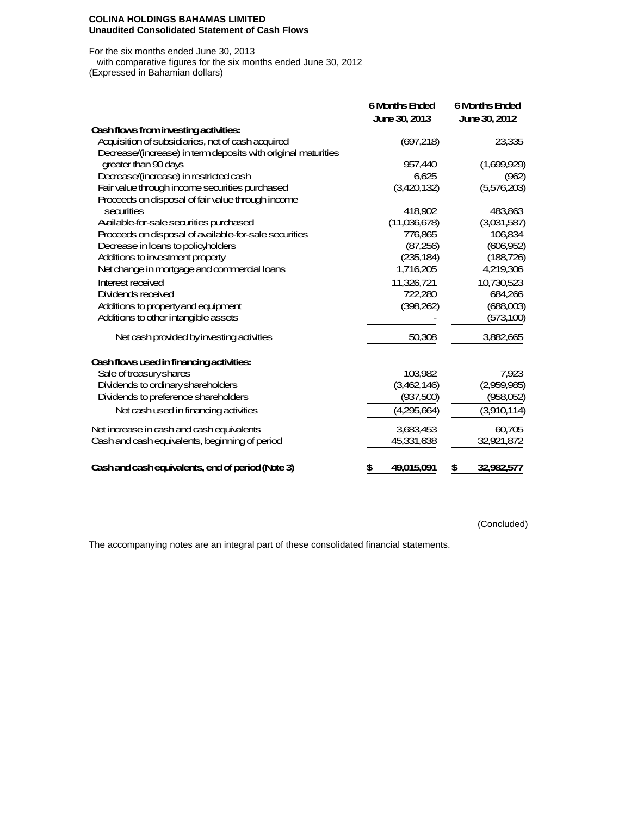#### **COLINA HOLDINGS BAHAMAS LIMITED Unaudited Consolidated Statement of Cash Flows**

### For the six months ended June 30, 2013

 with comparative figures for the six months ended June 30, 2012 (Expressed in Bahamian dollars)

|                                                               | <b>6 Months Ended</b><br><b>June 30, 2013</b> | <b>6 Months Ended</b><br><b>June 30, 2012</b> |
|---------------------------------------------------------------|-----------------------------------------------|-----------------------------------------------|
| Cash flows from investing activities:                         |                                               |                                               |
| Acquisition of subsidiaries, net of cash acquired             | (697,218)                                     | 23,335                                        |
| Decrease/(increase) in term deposits with original maturities |                                               |                                               |
| greater than 90 days                                          | 957,440                                       | (1,699,929)                                   |
| Decrease/(increase) in restricted cash                        | 6,625                                         | (962)                                         |
| Fair value through income securities purchased                | (3,420,132)                                   | (5,576,203)                                   |
| Proceeds on disposal of fair value through income             |                                               |                                               |
| securities                                                    | 418,902                                       | 483,863                                       |
| Aailable-for-sale securities purchased                        | (11,036,678)                                  | (3,031,587)                                   |
| Proceeds on disposal of available-for-sale securities         | 776,865                                       | 106,834                                       |
| Decrease in loans to policyholders                            | (87,256)                                      | (606, 952)                                    |
| Additions to investment property                              | (235, 184)                                    | (188, 726)                                    |
| Net change in mortgage and commercial loans                   | 1,716,205                                     | 4,219,306                                     |
| Interest received                                             | 11,326,721                                    | 10,730,523                                    |
| Dividends received                                            | 722,280                                       | 684,266                                       |
| Additions to property and equipment                           | (398,262)                                     | (688,003)                                     |
| Additions to other intangible assets                          |                                               | (573, 100)                                    |
| Net cash provided by investing activities                     | 50,308                                        | 3,882,665                                     |
| Cashflows used in financing activities:                       |                                               |                                               |
| Sale of treasury shares                                       | 103,982                                       | 7,923                                         |
| Dividends to ordinary shareholders                            | (3,462,146)                                   | (2,959,985)                                   |
| Dividends to preference shareholders                          | (937,500)                                     | (958,052)                                     |
| Net cash used in financing activities                         | (4,295,664)                                   | (3,910,114)                                   |
| Net increase in cash and cash equivalents                     | 3,683,453                                     | 60,705                                        |
| Cash and cash equivalents, beginning of period                | 45,331,638                                    | 32,921,872                                    |
| Cashand cashequivalents, end of period (Note 3)               | \$<br>49,015,091                              | 32,982,577<br>\$                              |

(Concluded)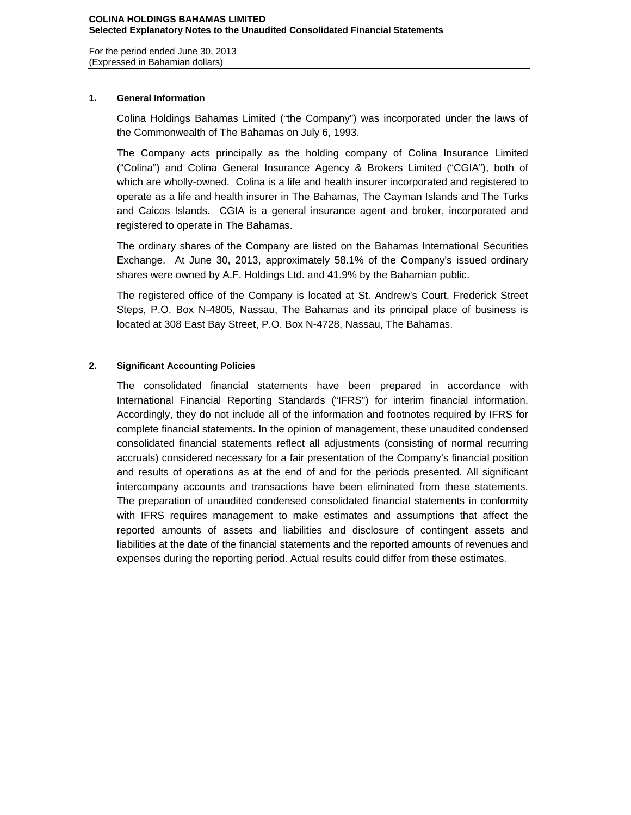For the period ended June 30, 2013 (Expressed in Bahamian dollars)

## **1. General Information**

Colina Holdings Bahamas Limited ("the Company") was incorporated under the laws of the Commonwealth of The Bahamas on July 6, 1993.

The Company acts principally as the holding company of Colina Insurance Limited ("Colina") and Colina General Insurance Agency & Brokers Limited ("CGIA"), both of which are wholly-owned. Colina is a life and health insurer incorporated and registered to operate as a life and health insurer in The Bahamas, The Cayman Islands and The Turks and Caicos Islands. CGIA is a general insurance agent and broker, incorporated and registered to operate in The Bahamas.

The ordinary shares of the Company are listed on the Bahamas International Securities Exchange. At June 30, 2013, approximately 58.1% of the Company's issued ordinary shares were owned by A.F. Holdings Ltd. and 41.9% by the Bahamian public.

The registered office of the Company is located at St. Andrew's Court, Frederick Street Steps, P.O. Box N-4805, Nassau, The Bahamas and its principal place of business is located at 308 East Bay Street, P.O. Box N-4728, Nassau, The Bahamas.

## **2. Significant Accounting Policies**

The consolidated financial statements have been prepared in accordance with International Financial Reporting Standards ("IFRS") for interim financial information. Accordingly, they do not include all of the information and footnotes required by IFRS for complete financial statements. In the opinion of management, these unaudited condensed consolidated financial statements reflect all adjustments (consisting of normal recurring accruals) considered necessary for a fair presentation of the Company's financial position and results of operations as at the end of and for the periods presented. All significant intercompany accounts and transactions have been eliminated from these statements. The preparation of unaudited condensed consolidated financial statements in conformity with IFRS requires management to make estimates and assumptions that affect the reported amounts of assets and liabilities and disclosure of contingent assets and liabilities at the date of the financial statements and the reported amounts of revenues and expenses during the reporting period. Actual results could differ from these estimates.